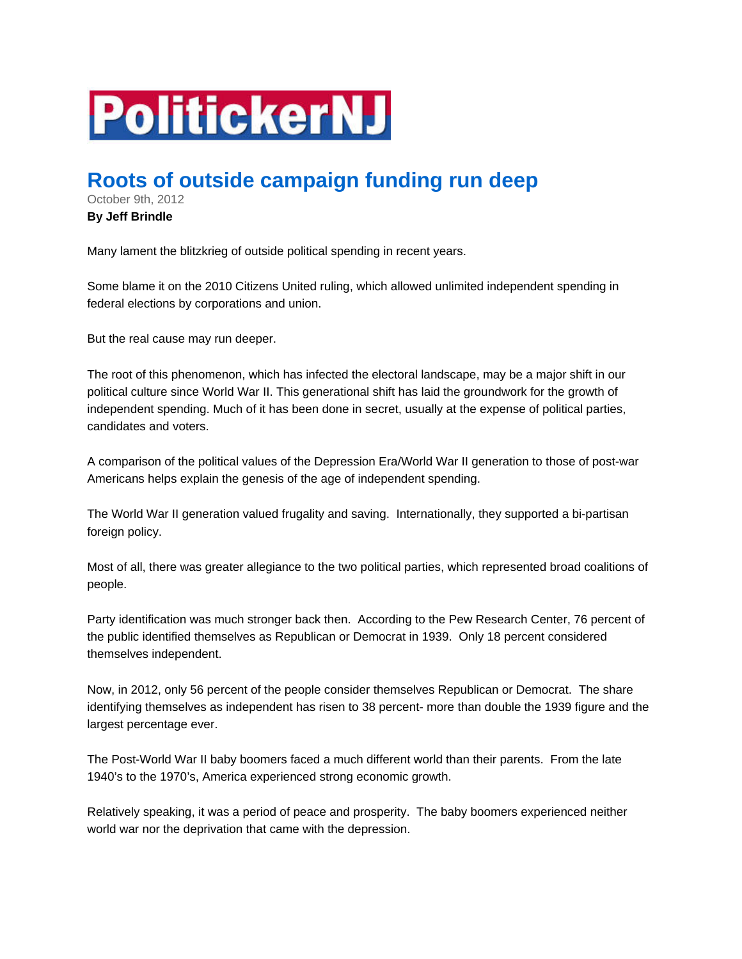## **PolitickerNJ**

## **Roots of outside campaign funding run deep**

October 9th, 2012

## **By Jeff Brindle**

Many lament the blitzkrieg of outside political spending in recent years.

Some blame it on the 2010 Citizens United ruling, which allowed unlimited independent spending in federal elections by corporations and union.

But the real cause may run deeper.

The root of this phenomenon, which has infected the electoral landscape, may be a major shift in our political culture since World War II. This generational shift has laid the groundwork for the growth of independent spending. Much of it has been done in secret, usually at the expense of political parties, candidates and voters.

A comparison of the political values of the Depression Era/World War II generation to those of post-war Americans helps explain the genesis of the age of independent spending.

The World War II generation valued frugality and saving. Internationally, they supported a bi-partisan foreign policy.

Most of all, there was greater allegiance to the two political parties, which represented broad coalitions of people.

Party identification was much stronger back then. According to the Pew Research Center, 76 percent of the public identified themselves as Republican or Democrat in 1939. Only 18 percent considered themselves independent.

Now, in 2012, only 56 percent of the people consider themselves Republican or Democrat. The share identifying themselves as independent has risen to 38 percent- more than double the 1939 figure and the largest percentage ever.

The Post-World War II baby boomers faced a much different world than their parents. From the late 1940's to the 1970's, America experienced strong economic growth.

Relatively speaking, it was a period of peace and prosperity. The baby boomers experienced neither world war nor the deprivation that came with the depression.